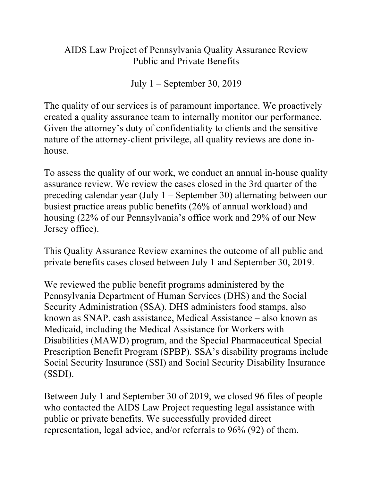## AIDS Law Project of Pennsylvania Quality Assurance Review Public and Private Benefits

July 1 – September 30, 2019

The quality of our services is of paramount importance. We proactively created a quality assurance team to internally monitor our performance. Given the attorney's duty of confidentiality to clients and the sensitive nature of the attorney-client privilege, all quality reviews are done inhouse.

To assess the quality of our work, we conduct an annual in-house quality assurance review. We review the cases closed in the 3rd quarter of the preceding calendar year (July 1 – September 30) alternating between our busiest practice areas public benefits (26% of annual workload) and housing (22% of our Pennsylvania's office work and 29% of our New Jersey office).

This Quality Assurance Review examines the outcome of all public and private benefits cases closed between July 1 and September 30, 2019.

We reviewed the public benefit programs administered by the Pennsylvania Department of Human Services (DHS) and the Social Security Administration (SSA). DHS administers food stamps, also known as SNAP, cash assistance, Medical Assistance – also known as Medicaid, including the Medical Assistance for Workers with Disabilities (MAWD) program, and the Special Pharmaceutical Special Prescription Benefit Program (SPBP). SSA's disability programs include Social Security Insurance (SSI) and Social Security Disability Insurance (SSDI).

Between July 1 and September 30 of 2019, we closed 96 files of people who contacted the AIDS Law Project requesting legal assistance with public or private benefits. We successfully provided direct representation, legal advice, and/or referrals to 96% (92) of them.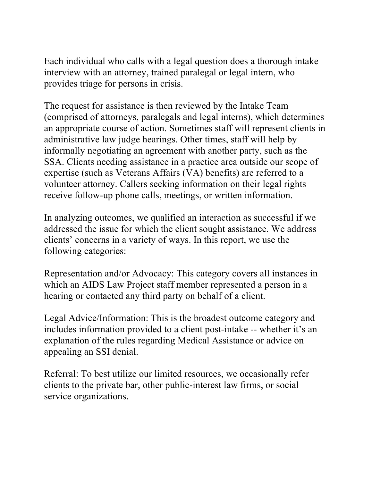Each individual who calls with a legal question does a thorough intake interview with an attorney, trained paralegal or legal intern, who provides triage for persons in crisis.

The request for assistance is then reviewed by the Intake Team (comprised of attorneys, paralegals and legal interns), which determines an appropriate course of action. Sometimes staff will represent clients in administrative law judge hearings. Other times, staff will help by informally negotiating an agreement with another party, such as the SSA. Clients needing assistance in a practice area outside our scope of expertise (such as Veterans Affairs (VA) benefits) are referred to a volunteer attorney. Callers seeking information on their legal rights receive follow-up phone calls, meetings, or written information.

In analyzing outcomes, we qualified an interaction as successful if we addressed the issue for which the client sought assistance. We address clients' concerns in a variety of ways. In this report, we use the following categories:

Representation and/or Advocacy: This category covers all instances in which an AIDS Law Project staff member represented a person in a hearing or contacted any third party on behalf of a client.

Legal Advice/Information: This is the broadest outcome category and includes information provided to a client post-intake -- whether it's an explanation of the rules regarding Medical Assistance or advice on appealing an SSI denial.

Referral: To best utilize our limited resources, we occasionally refer clients to the private bar, other public-interest law firms, or social service organizations.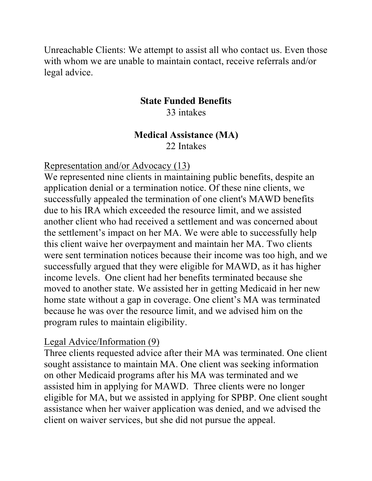Unreachable Clients: We attempt to assist all who contact us. Even those with whom we are unable to maintain contact, receive referrals and/or legal advice.

# **State Funded Benefits**

33 intakes

# **Medical Assistance (MA)**

22 Intakes

## Representation and/or Advocacy (13)

We represented nine clients in maintaining public benefits, despite an application denial or a termination notice. Of these nine clients, we successfully appealed the termination of one client's MAWD benefits due to his IRA which exceeded the resource limit, and we assisted another client who had received a settlement and was concerned about the settlement's impact on her MA. We were able to successfully help this client waive her overpayment and maintain her MA. Two clients were sent termination notices because their income was too high, and we successfully argued that they were eligible for MAWD, as it has higher income levels. One client had her benefits terminated because she moved to another state. We assisted her in getting Medicaid in her new home state without a gap in coverage. One client's MA was terminated because he was over the resource limit, and we advised him on the program rules to maintain eligibility.

## Legal Advice/Information (9)

Three clients requested advice after their MA was terminated. One client sought assistance to maintain MA. One client was seeking information on other Medicaid programs after his MA was terminated and we assisted him in applying for MAWD. Three clients were no longer eligible for MA, but we assisted in applying for SPBP. One client sought assistance when her waiver application was denied, and we advised the client on waiver services, but she did not pursue the appeal.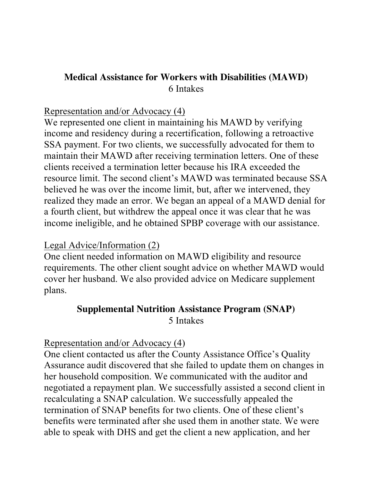### **Medical Assistance for Workers with Disabilities (MAWD)**  6 Intakes

#### Representation and/or Advocacy (4)

We represented one client in maintaining his MAWD by verifying income and residency during a recertification, following a retroactive SSA payment. For two clients, we successfully advocated for them to maintain their MAWD after receiving termination letters. One of these clients received a termination letter because his IRA exceeded the resource limit. The second client's MAWD was terminated because SSA believed he was over the income limit, but, after we intervened, they realized they made an error. We began an appeal of a MAWD denial for a fourth client, but withdrew the appeal once it was clear that he was income ineligible, and he obtained SPBP coverage with our assistance.

#### Legal Advice/Information (2)

One client needed information on MAWD eligibility and resource requirements. The other client sought advice on whether MAWD would cover her husband. We also provided advice on Medicare supplement plans.

#### **Supplemental Nutrition Assistance Program (SNAP)**  5 Intakes

#### Representation and/or Advocacy (4)

One client contacted us after the County Assistance Office's Quality Assurance audit discovered that she failed to update them on changes in her household composition. We communicated with the auditor and negotiated a repayment plan. We successfully assisted a second client in recalculating a SNAP calculation. We successfully appealed the termination of SNAP benefits for two clients. One of these client's benefits were terminated after she used them in another state. We were able to speak with DHS and get the client a new application, and her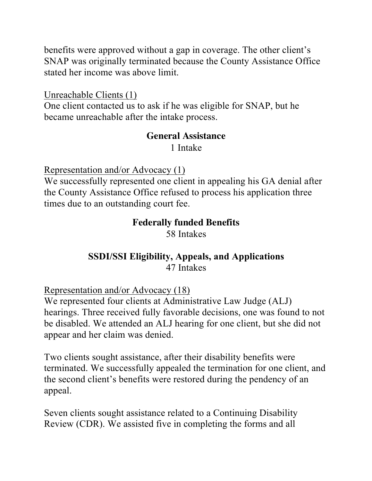benefits were approved without a gap in coverage. The other client's SNAP was originally terminated because the County Assistance Office stated her income was above limit.

Unreachable Clients (1)

One client contacted us to ask if he was eligible for SNAP, but he became unreachable after the intake process.

#### **General Assistance**

1 Intake

Representation and/or Advocacy (1)

We successfully represented one client in appealing his GA denial after the County Assistance Office refused to process his application three times due to an outstanding court fee.

#### **Federally funded Benefits**

58 Intakes

**SSDI/SSI Eligibility, Appeals, and Applications** 47 Intakes

Representation and/or Advocacy (18)

We represented four clients at Administrative Law Judge (ALJ) hearings. Three received fully favorable decisions, one was found to not be disabled. We attended an ALJ hearing for one client, but she did not appear and her claim was denied.

Two clients sought assistance, after their disability benefits were terminated. We successfully appealed the termination for one client, and the second client's benefits were restored during the pendency of an appeal.

Seven clients sought assistance related to a Continuing Disability Review (CDR). We assisted five in completing the forms and all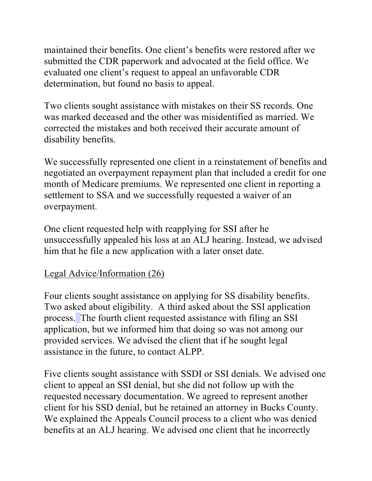maintained their benefits. One client's benefits were restored after we submitted the CDR paperwork and advocated at the field office. We evaluated one client's request to appeal an unfavorable CDR determination, but found no basis to appeal.

Two clients sought assistance with mistakes on their SS records. One was marked deceased and the other was misidentified as married. We corrected the mistakes and both received their accurate amount of disability benefits.

We successfully represented one client in a reinstatement of benefits and negotiated an overpayment repayment plan that included a credit for one month of Medicare premiums. We represented one client in reporting a settlement to SSA and we successfully requested a waiver of an overpayment.

One client requested help with reapplying for SSI after he unsuccessfully appealed his loss at an ALJ hearing. Instead, we advised him that he file a new application with a later onset date.

## Legal Advice/Information (26)

Four clients sought assistance on applying for SS disability benefits. Two asked about eligibility. A third asked about the SSI application process. The fourth client requested assistance with filing an SSI application, but we informed him that doing so was not among our provided services. We advised the client that if he sought legal assistance in the future, to contact ALPP.

Five clients sought assistance with SSDI or SSI denials. We advised one client to appeal an SSI denial, but she did not follow up with the requested necessary documentation. We agreed to represent another client for his SSD denial, but he retained an attorney in Bucks County. We explained the Appeals Council process to a client who was denied benefits at an ALJ hearing. We advised one client that he incorrectly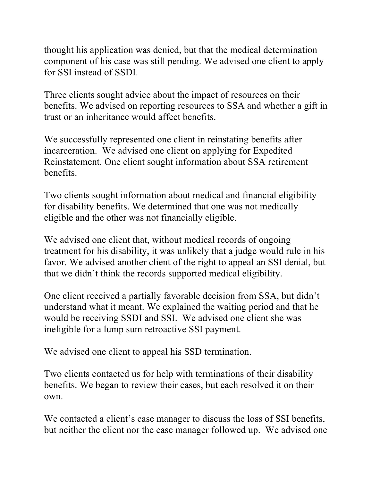thought his application was denied, but that the medical determination component of his case was still pending. We advised one client to apply for SSI instead of SSDI.

Three clients sought advice about the impact of resources on their benefits. We advised on reporting resources to SSA and whether a gift in trust or an inheritance would affect benefits.

We successfully represented one client in reinstating benefits after incarceration. We advised one client on applying for Expedited Reinstatement. One client sought information about SSA retirement benefits.

Two clients sought information about medical and financial eligibility for disability benefits. We determined that one was not medically eligible and the other was not financially eligible.

We advised one client that, without medical records of ongoing treatment for his disability, it was unlikely that a judge would rule in his favor. We advised another client of the right to appeal an SSI denial, but that we didn't think the records supported medical eligibility.

One client received a partially favorable decision from SSA, but didn't understand what it meant. We explained the waiting period and that he would be receiving SSDI and SSI. We advised one client she was ineligible for a lump sum retroactive SSI payment.

We advised one client to appeal his SSD termination.

Two clients contacted us for help with terminations of their disability benefits. We began to review their cases, but each resolved it on their own.

We contacted a client's case manager to discuss the loss of SSI benefits, but neither the client nor the case manager followed up. We advised one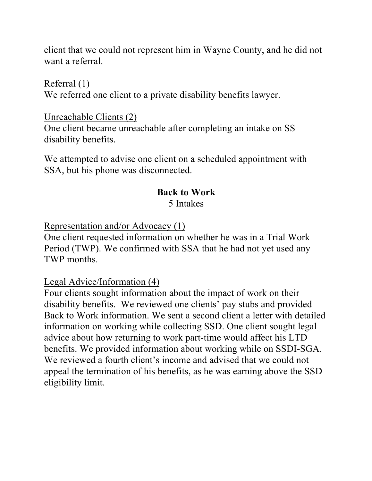client that we could not represent him in Wayne County, and he did not want a referral

Referral (1) We referred one client to a private disability benefits lawyer.

Unreachable Clients (2) One client became unreachable after completing an intake on SS disability benefits.

We attempted to advise one client on a scheduled appointment with SSA, but his phone was disconnected.

## **Back to Work**

5 Intakes

Representation and/or Advocacy (1)

One client requested information on whether he was in a Trial Work Period (TWP). We confirmed with SSA that he had not yet used any TWP months.

Legal Advice/Information (4)

Four clients sought information about the impact of work on their disability benefits. We reviewed one clients' pay stubs and provided Back to Work information. We sent a second client a letter with detailed information on working while collecting SSD. One client sought legal advice about how returning to work part-time would affect his LTD benefits. We provided information about working while on SSDI-SGA. We reviewed a fourth client's income and advised that we could not appeal the termination of his benefits, as he was earning above the SSD eligibility limit.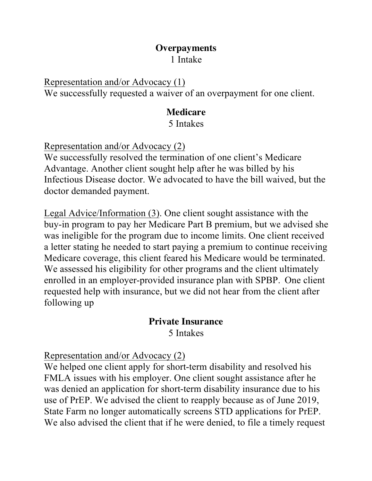# **Overpayments**

1 Intake

Representation and/or Advocacy (1) We successfully requested a waiver of an overpayment for one client.

#### **Medicare**

5 Intakes

Representation and/or Advocacy (2)

We successfully resolved the termination of one client's Medicare Advantage. Another client sought help after he was billed by his Infectious Disease doctor. We advocated to have the bill waived, but the doctor demanded payment.

Legal Advice/Information (3). One client sought assistance with the buy-in program to pay her Medicare Part B premium, but we advised she was ineligible for the program due to income limits. One client received a letter stating he needed to start paying a premium to continue receiving Medicare coverage, this client feared his Medicare would be terminated. We assessed his eligibility for other programs and the client ultimately enrolled in an employer-provided insurance plan with SPBP. One client requested help with insurance, but we did not hear from the client after following up

#### **Private Insurance**  5 Intakes

Representation and/or Advocacy (2)

We helped one client apply for short-term disability and resolved his FMLA issues with his employer. One client sought assistance after he was denied an application for short-term disability insurance due to his use of PrEP. We advised the client to reapply because as of June 2019, State Farm no longer automatically screens STD applications for PrEP. We also advised the client that if he were denied, to file a timely request